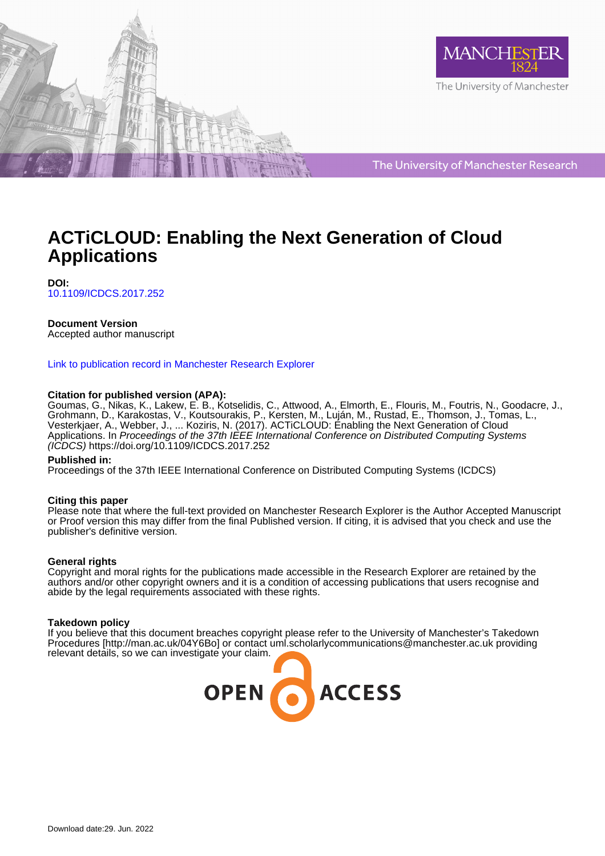



The University of Manchester Research

# **ACTiCLOUD: Enabling the Next Generation of Cloud Applications**

**DOI:** [10.1109/ICDCS.2017.252](https://doi.org/10.1109/ICDCS.2017.252)

# **Document Version**

Accepted author manuscript

# [Link to publication record in Manchester Research Explorer](https://www.research.manchester.ac.uk/portal/en/publications/acticloud-enabling-the-next-generation-of-cloud-applications(32593de1-43d3-4275-85bf-4b82c569572d).html)

# **Citation for published version (APA):**

Goumas, G., Nikas, K., Lakew, E. B[., Kotselidis, C.](/portal/christos.kotselidis.html), Attwood, A., Elmorth, E., Flouris, M[., Foutris, N.,](/portal/nikos.foutris.html) Goodacre, J., Grohmann, D., Karakostas, V., Koutsourakis, P., Kersten, M., Luján, M., Rustad, E., Thomson, J., Tomas, L., Vesterkjaer, A., Webber, J., ... Koziris, N. (2017). [ACTiCLOUD: Enabling the Next Generation of Cloud](https://www.research.manchester.ac.uk/portal/en/publications/acticloud-enabling-the-next-generation-of-cloud-applications(32593de1-43d3-4275-85bf-4b82c569572d).html) [Applications.](https://www.research.manchester.ac.uk/portal/en/publications/acticloud-enabling-the-next-generation-of-cloud-applications(32593de1-43d3-4275-85bf-4b82c569572d).html) In Proceedings of the 37th IEEE International Conference on Distributed Computing Systems (ICDCS) <https://doi.org/10.1109/ICDCS.2017.252>

# **Published in:**

Proceedings of the 37th IEEE International Conference on Distributed Computing Systems (ICDCS)

### **Citing this paper**

Please note that where the full-text provided on Manchester Research Explorer is the Author Accepted Manuscript or Proof version this may differ from the final Published version. If citing, it is advised that you check and use the publisher's definitive version.

# **General rights**

Copyright and moral rights for the publications made accessible in the Research Explorer are retained by the authors and/or other copyright owners and it is a condition of accessing publications that users recognise and abide by the legal requirements associated with these rights.

# **Takedown policy**

If you believe that this document breaches copyright please refer to the University of Manchester's Takedown Procedures [http://man.ac.uk/04Y6Bo] or contact uml.scholarlycommunications@manchester.ac.uk providing relevant details, so we can investigate your claim.

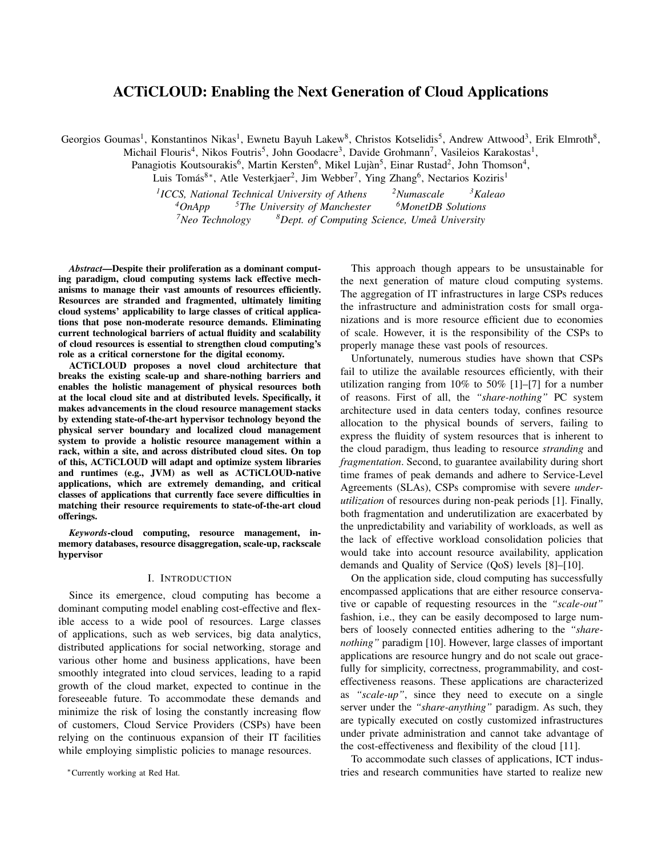# ACTiCLOUD: Enabling the Next Generation of Cloud Applications

Georgios Goumas<sup>1</sup>, Konstantinos Nikas<sup>1</sup>, Ewnetu Bayuh Lakew<sup>8</sup>, Christos Kotselidis<sup>5</sup>, Andrew Attwood<sup>3</sup>, Erik Elmroth<sup>8</sup>,

Michail Flouris<sup>4</sup>, Nikos Foutris<sup>5</sup>, John Goodacre<sup>3</sup>, Davide Grohmann<sup>7</sup>, Vasileios Karakostas<sup>1</sup>,

Panagiotis Koutsourakis<sup>6</sup>, Martin Kersten<sup>6</sup>, Mikel Lujàn<sup>5</sup>, Einar Rustad<sup>2</sup>, John Thomson<sup>4</sup>,

Luis Tomás<sup>8\*</sup>, Atle Vesterkjaer<sup>2</sup>, Jim Webber<sup>7</sup>, Ying Zhang<sup>6</sup>, Nectarios Koziris<sup>1</sup>

*1 ICCS, National Technical University of Athens <sup>2</sup>Numascale <sup>3</sup>Kaleao <sup>4</sup>OnApp <sup>5</sup>The University of Manchester <sup>6</sup>MonetDB Solutions <sup>7</sup>Neo Technology <sup>8</sup>Dept. of Computing Science, Umeå University*

*Abstract*—Despite their proliferation as a dominant computing paradigm, cloud computing systems lack effective mechanisms to manage their vast amounts of resources efficiently. Resources are stranded and fragmented, ultimately limiting cloud systems' applicability to large classes of critical applications that pose non-moderate resource demands. Eliminating current technological barriers of actual fluidity and scalability of cloud resources is essential to strengthen cloud computing's role as a critical cornerstone for the digital economy.

ACTiCLOUD proposes a novel cloud architecture that breaks the existing scale-up and share-nothing barriers and enables the holistic management of physical resources both at the local cloud site and at distributed levels. Specifically, it makes advancements in the cloud resource management stacks by extending state-of-the-art hypervisor technology beyond the physical server boundary and localized cloud management system to provide a holistic resource management within a rack, within a site, and across distributed cloud sites. On top of this, ACTiCLOUD will adapt and optimize system libraries and runtimes (e.g., JVM) as well as ACTiCLOUD-native applications, which are extremely demanding, and critical classes of applications that currently face severe difficulties in matching their resource requirements to state-of-the-art cloud offerings.

*Keywords*-cloud computing, resource management, inmemory databases, resource disaggregation, scale-up, rackscale hypervisor

#### I. INTRODUCTION

Since its emergence, cloud computing has become a dominant computing model enabling cost-effective and flexible access to a wide pool of resources. Large classes of applications, such as web services, big data analytics, distributed applications for social networking, storage and various other home and business applications, have been smoothly integrated into cloud services, leading to a rapid growth of the cloud market, expected to continue in the foreseeable future. To accommodate these demands and minimize the risk of losing the constantly increasing flow of customers, Cloud Service Providers (CSPs) have been relying on the continuous expansion of their IT facilities while employing simplistic policies to manage resources.

This approach though appears to be unsustainable for the next generation of mature cloud computing systems. The aggregation of IT infrastructures in large CSPs reduces the infrastructure and administration costs for small organizations and is more resource efficient due to economies of scale. However, it is the responsibility of the CSPs to properly manage these vast pools of resources.

Unfortunately, numerous studies have shown that CSPs fail to utilize the available resources efficiently, with their utilization ranging from 10% to 50% [1]–[7] for a number of reasons. First of all, the *"share-nothing"* PC system architecture used in data centers today, confines resource allocation to the physical bounds of servers, failing to express the fluidity of system resources that is inherent to the cloud paradigm, thus leading to resource *stranding* and *fragmentation*. Second, to guarantee availability during short time frames of peak demands and adhere to Service-Level Agreements (SLAs), CSPs compromise with severe *underutilization* of resources during non-peak periods [1]. Finally, both fragmentation and underutilization are exacerbated by the unpredictability and variability of workloads, as well as the lack of effective workload consolidation policies that would take into account resource availability, application demands and Quality of Service (QoS) levels [8]–[10].

On the application side, cloud computing has successfully encompassed applications that are either resource conservative or capable of requesting resources in the *"scale-out"* fashion, i.e., they can be easily decomposed to large numbers of loosely connected entities adhering to the *"sharenothing"* paradigm [10]. However, large classes of important applications are resource hungry and do not scale out gracefully for simplicity, correctness, programmability, and costeffectiveness reasons. These applications are characterized as *"scale-up"*, since they need to execute on a single server under the *"share-anything"* paradigm. As such, they are typically executed on costly customized infrastructures under private administration and cannot take advantage of the cost-effectiveness and flexibility of the cloud [11].

To accommodate such classes of applications, ICT industries and research communities have started to realize new

<sup>∗</sup>Currently working at Red Hat.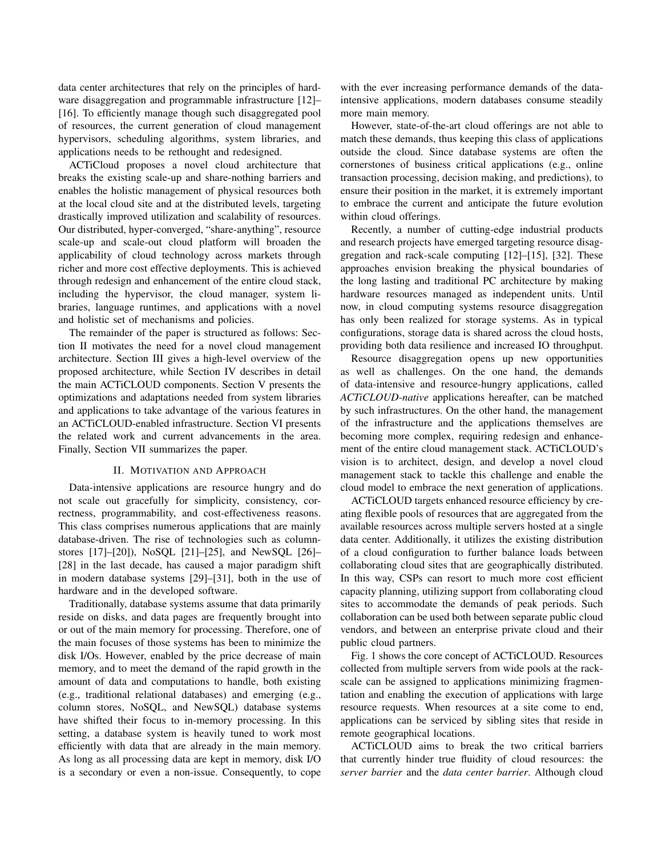data center architectures that rely on the principles of hardware disaggregation and programmable infrastructure [12]– [16]. To efficiently manage though such disaggregated pool of resources, the current generation of cloud management hypervisors, scheduling algorithms, system libraries, and applications needs to be rethought and redesigned.

ACTiCloud proposes a novel cloud architecture that breaks the existing scale-up and share-nothing barriers and enables the holistic management of physical resources both at the local cloud site and at the distributed levels, targeting drastically improved utilization and scalability of resources. Our distributed, hyper-converged, "share-anything", resource scale-up and scale-out cloud platform will broaden the applicability of cloud technology across markets through richer and more cost effective deployments. This is achieved through redesign and enhancement of the entire cloud stack, including the hypervisor, the cloud manager, system libraries, language runtimes, and applications with a novel and holistic set of mechanisms and policies.

The remainder of the paper is structured as follows: Section II motivates the need for a novel cloud management architecture. Section III gives a high-level overview of the proposed architecture, while Section IV describes in detail the main ACTiCLOUD components. Section V presents the optimizations and adaptations needed from system libraries and applications to take advantage of the various features in an ACTiCLOUD-enabled infrastructure. Section VI presents the related work and current advancements in the area. Finally, Section VII summarizes the paper.

#### II. MOTIVATION AND APPROACH

Data-intensive applications are resource hungry and do not scale out gracefully for simplicity, consistency, correctness, programmability, and cost-effectiveness reasons. This class comprises numerous applications that are mainly database-driven. The rise of technologies such as columnstores [17]–[20]), NoSQL [21]–[25], and NewSQL [26]– [28] in the last decade, has caused a major paradigm shift in modern database systems [29]–[31], both in the use of hardware and in the developed software.

Traditionally, database systems assume that data primarily reside on disks, and data pages are frequently brought into or out of the main memory for processing. Therefore, one of the main focuses of those systems has been to minimize the disk I/Os. However, enabled by the price decrease of main memory, and to meet the demand of the rapid growth in the amount of data and computations to handle, both existing (e.g., traditional relational databases) and emerging (e.g., column stores, NoSQL, and NewSQL) database systems have shifted their focus to in-memory processing. In this setting, a database system is heavily tuned to work most efficiently with data that are already in the main memory. As long as all processing data are kept in memory, disk I/O is a secondary or even a non-issue. Consequently, to cope with the ever increasing performance demands of the dataintensive applications, modern databases consume steadily more main memory.

However, state-of-the-art cloud offerings are not able to match these demands, thus keeping this class of applications outside the cloud. Since database systems are often the cornerstones of business critical applications (e.g., online transaction processing, decision making, and predictions), to ensure their position in the market, it is extremely important to embrace the current and anticipate the future evolution within cloud offerings.

Recently, a number of cutting-edge industrial products and research projects have emerged targeting resource disaggregation and rack-scale computing [12]–[15], [32]. These approaches envision breaking the physical boundaries of the long lasting and traditional PC architecture by making hardware resources managed as independent units. Until now, in cloud computing systems resource disaggregation has only been realized for storage systems. As in typical configurations, storage data is shared across the cloud hosts, providing both data resilience and increased IO throughput.

Resource disaggregation opens up new opportunities as well as challenges. On the one hand, the demands of data-intensive and resource-hungry applications, called *ACTiCLOUD-native* applications hereafter, can be matched by such infrastructures. On the other hand, the management of the infrastructure and the applications themselves are becoming more complex, requiring redesign and enhancement of the entire cloud management stack. ACTiCLOUD's vision is to architect, design, and develop a novel cloud management stack to tackle this challenge and enable the cloud model to embrace the next generation of applications.

ACTiCLOUD targets enhanced resource efficiency by creating flexible pools of resources that are aggregated from the available resources across multiple servers hosted at a single data center. Additionally, it utilizes the existing distribution of a cloud configuration to further balance loads between collaborating cloud sites that are geographically distributed. In this way, CSPs can resort to much more cost efficient capacity planning, utilizing support from collaborating cloud sites to accommodate the demands of peak periods. Such collaboration can be used both between separate public cloud vendors, and between an enterprise private cloud and their public cloud partners.

Fig. 1 shows the core concept of ACTiCLOUD. Resources collected from multiple servers from wide pools at the rackscale can be assigned to applications minimizing fragmentation and enabling the execution of applications with large resource requests. When resources at a site come to end, applications can be serviced by sibling sites that reside in remote geographical locations.

ACTiCLOUD aims to break the two critical barriers that currently hinder true fluidity of cloud resources: the *server barrier* and the *data center barrier*. Although cloud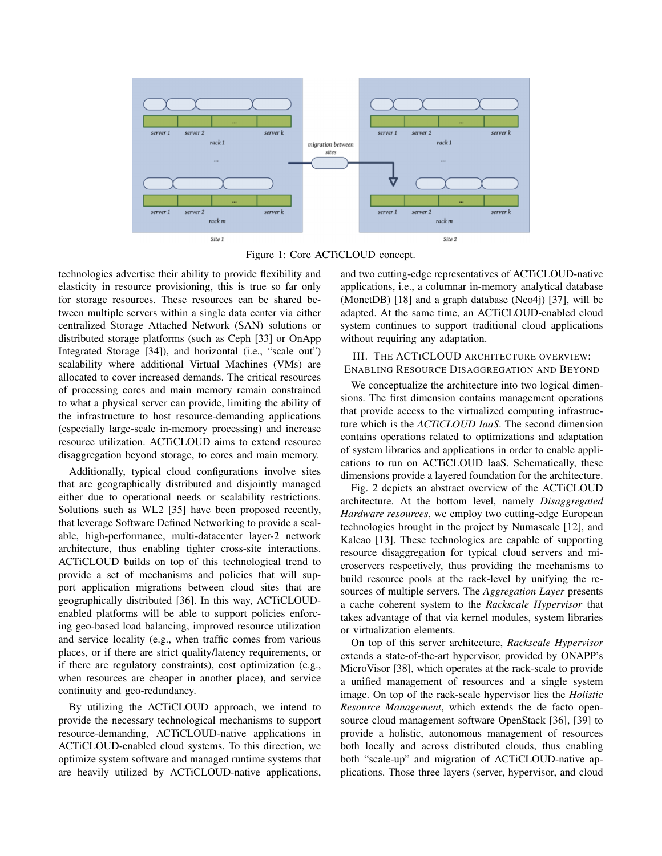

Figure 1: Core ACTiCLOUD concept.

technologies advertise their ability to provide flexibility and elasticity in resource provisioning, this is true so far only for storage resources. These resources can be shared between multiple servers within a single data center via either centralized Storage Attached Network (SAN) solutions or distributed storage platforms (such as Ceph [33] or OnApp Integrated Storage [34]), and horizontal (i.e., "scale out") scalability where additional Virtual Machines (VMs) are allocated to cover increased demands. The critical resources of processing cores and main memory remain constrained to what a physical server can provide, limiting the ability of the infrastructure to host resource-demanding applications (especially large-scale in-memory processing) and increase resource utilization. ACTiCLOUD aims to extend resource disaggregation beyond storage, to cores and main memory.

Additionally, typical cloud configurations involve sites that are geographically distributed and disjointly managed either due to operational needs or scalability restrictions. Solutions such as WL2 [35] have been proposed recently, that leverage Software Defined Networking to provide a scalable, high-performance, multi-datacenter layer-2 network architecture, thus enabling tighter cross-site interactions. ACTiCLOUD builds on top of this technological trend to provide a set of mechanisms and policies that will support application migrations between cloud sites that are geographically distributed [36]. In this way, ACTiCLOUDenabled platforms will be able to support policies enforcing geo-based load balancing, improved resource utilization and service locality (e.g., when traffic comes from various places, or if there are strict quality/latency requirements, or if there are regulatory constraints), cost optimization (e.g., when resources are cheaper in another place), and service continuity and geo-redundancy.

By utilizing the ACTiCLOUD approach, we intend to provide the necessary technological mechanisms to support resource-demanding, ACTiCLOUD-native applications in ACTiCLOUD-enabled cloud systems. To this direction, we optimize system software and managed runtime systems that are heavily utilized by ACTiCLOUD-native applications, and two cutting-edge representatives of ACTiCLOUD-native applications, i.e., a columnar in-memory analytical database (MonetDB) [18] and a graph database (Neo4j) [37], will be adapted. At the same time, an ACTiCLOUD-enabled cloud system continues to support traditional cloud applications without requiring any adaptation.

# III. THE ACTICLOUD ARCHITECTURE OVERVIEW: ENABLING RESOURCE DISAGGREGATION AND BEYOND

We conceptualize the architecture into two logical dimensions. The first dimension contains management operations that provide access to the virtualized computing infrastructure which is the *ACTiCLOUD IaaS*. The second dimension contains operations related to optimizations and adaptation of system libraries and applications in order to enable applications to run on ACTiCLOUD IaaS. Schematically, these dimensions provide a layered foundation for the architecture.

Fig. 2 depicts an abstract overview of the ACTiCLOUD architecture. At the bottom level, namely *Disaggregated Hardware resources*, we employ two cutting-edge European technologies brought in the project by Numascale [12], and Kaleao [13]. These technologies are capable of supporting resource disaggregation for typical cloud servers and microservers respectively, thus providing the mechanisms to build resource pools at the rack-level by unifying the resources of multiple servers. The *Aggregation Layer* presents a cache coherent system to the *Rackscale Hypervisor* that takes advantage of that via kernel modules, system libraries or virtualization elements.

On top of this server architecture, *Rackscale Hypervisor* extends a state-of-the-art hypervisor, provided by ONAPP's MicroVisor [38], which operates at the rack-scale to provide a unified management of resources and a single system image. On top of the rack-scale hypervisor lies the *Holistic Resource Management*, which extends the de facto opensource cloud management software OpenStack [36], [39] to provide a holistic, autonomous management of resources both locally and across distributed clouds, thus enabling both "scale-up" and migration of ACTiCLOUD-native applications. Those three layers (server, hypervisor, and cloud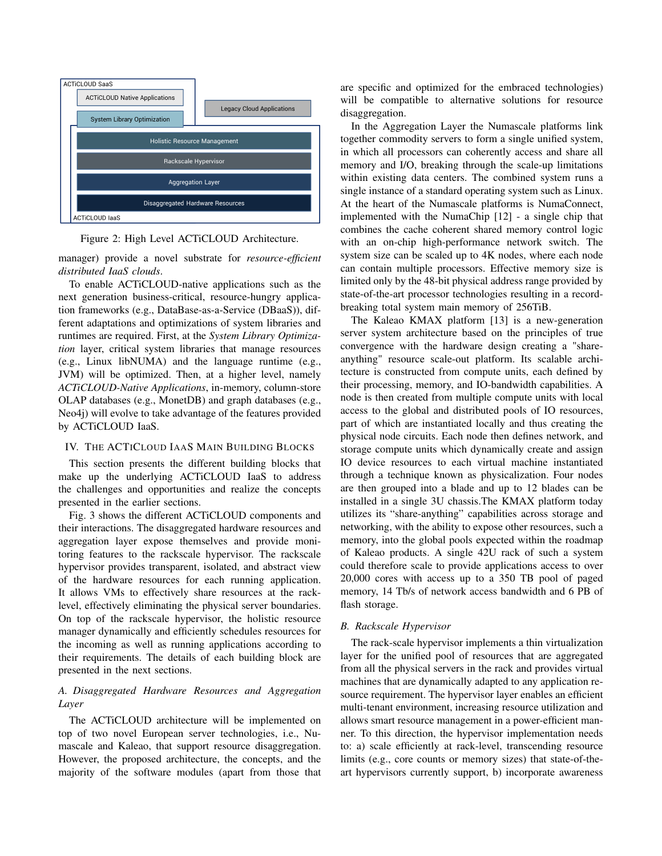

Figure 2: High Level ACTiCLOUD Architecture.

manager) provide a novel substrate for *resource-efficient distributed IaaS clouds*.

To enable ACTiCLOUD-native applications such as the next generation business-critical, resource-hungry application frameworks (e.g., DataBase-as-a-Service (DBaaS)), different adaptations and optimizations of system libraries and runtimes are required. First, at the *System Library Optimization* layer, critical system libraries that manage resources (e.g., Linux libNUMA) and the language runtime (e.g., JVM) will be optimized. Then, at a higher level, namely *ACTiCLOUD-Native Applications*, in-memory, column-store OLAP databases (e.g., MonetDB) and graph databases (e.g., Neo4j) will evolve to take advantage of the features provided by ACTiCLOUD IaaS.

#### IV. THE ACTICLOUD IAAS MAIN BUILDING BLOCKS

This section presents the different building blocks that make up the underlying ACTiCLOUD IaaS to address the challenges and opportunities and realize the concepts presented in the earlier sections.

Fig. 3 shows the different ACTiCLOUD components and their interactions. The disaggregated hardware resources and aggregation layer expose themselves and provide monitoring features to the rackscale hypervisor. The rackscale hypervisor provides transparent, isolated, and abstract view of the hardware resources for each running application. It allows VMs to effectively share resources at the racklevel, effectively eliminating the physical server boundaries. On top of the rackscale hypervisor, the holistic resource manager dynamically and efficiently schedules resources for the incoming as well as running applications according to their requirements. The details of each building block are presented in the next sections.

# *A. Disaggregated Hardware Resources and Aggregation Layer*

The ACTiCLOUD architecture will be implemented on top of two novel European server technologies, i.e., Numascale and Kaleao, that support resource disaggregation. However, the proposed architecture, the concepts, and the majority of the software modules (apart from those that are specific and optimized for the embraced technologies) will be compatible to alternative solutions for resource disaggregation.

In the Aggregation Layer the Numascale platforms link together commodity servers to form a single unified system, in which all processors can coherently access and share all memory and I/O, breaking through the scale-up limitations within existing data centers. The combined system runs a single instance of a standard operating system such as Linux. At the heart of the Numascale platforms is NumaConnect, implemented with the NumaChip [12] - a single chip that combines the cache coherent shared memory control logic with an on-chip high-performance network switch. The system size can be scaled up to 4K nodes, where each node can contain multiple processors. Effective memory size is limited only by the 48-bit physical address range provided by state-of-the-art processor technologies resulting in a recordbreaking total system main memory of 256TiB.

The Kaleao KMAX platform [13] is a new-generation server system architecture based on the principles of true convergence with the hardware design creating a "shareanything" resource scale-out platform. Its scalable architecture is constructed from compute units, each defined by their processing, memory, and IO-bandwidth capabilities. A node is then created from multiple compute units with local access to the global and distributed pools of IO resources, part of which are instantiated locally and thus creating the physical node circuits. Each node then defines network, and storage compute units which dynamically create and assign IO device resources to each virtual machine instantiated through a technique known as physicalization. Four nodes are then grouped into a blade and up to 12 blades can be installed in a single 3U chassis.The KMAX platform today utilizes its "share-anything" capabilities across storage and networking, with the ability to expose other resources, such a memory, into the global pools expected within the roadmap of Kaleao products. A single 42U rack of such a system could therefore scale to provide applications access to over 20,000 cores with access up to a 350 TB pool of paged memory, 14 Tb/s of network access bandwidth and 6 PB of flash storage.

### *B. Rackscale Hypervisor*

The rack-scale hypervisor implements a thin virtualization layer for the unified pool of resources that are aggregated from all the physical servers in the rack and provides virtual machines that are dynamically adapted to any application resource requirement. The hypervisor layer enables an efficient multi-tenant environment, increasing resource utilization and allows smart resource management in a power-efficient manner. To this direction, the hypervisor implementation needs to: a) scale efficiently at rack-level, transcending resource limits (e.g., core counts or memory sizes) that state-of-theart hypervisors currently support, b) incorporate awareness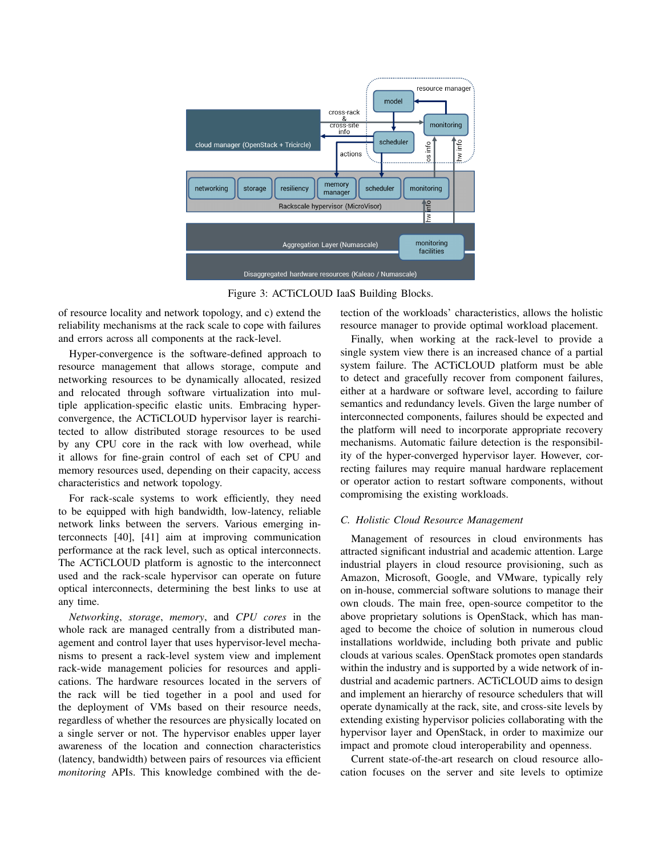

Figure 3: ACTiCLOUD IaaS Building Blocks.

of resource locality and network topology, and c) extend the reliability mechanisms at the rack scale to cope with failures and errors across all components at the rack-level.

Hyper-convergence is the software-defined approach to resource management that allows storage, compute and networking resources to be dynamically allocated, resized and relocated through software virtualization into multiple application-specific elastic units. Embracing hyperconvergence, the ACTiCLOUD hypervisor layer is rearchitected to allow distributed storage resources to be used by any CPU core in the rack with low overhead, while it allows for fine-grain control of each set of CPU and memory resources used, depending on their capacity, access characteristics and network topology.

For rack-scale systems to work efficiently, they need to be equipped with high bandwidth, low-latency, reliable network links between the servers. Various emerging interconnects [40], [41] aim at improving communication performance at the rack level, such as optical interconnects. The ACTiCLOUD platform is agnostic to the interconnect used and the rack-scale hypervisor can operate on future optical interconnects, determining the best links to use at any time.

*Networking*, *storage*, *memory*, and *CPU cores* in the whole rack are managed centrally from a distributed management and control layer that uses hypervisor-level mechanisms to present a rack-level system view and implement rack-wide management policies for resources and applications. The hardware resources located in the servers of the rack will be tied together in a pool and used for the deployment of VMs based on their resource needs, regardless of whether the resources are physically located on a single server or not. The hypervisor enables upper layer awareness of the location and connection characteristics (latency, bandwidth) between pairs of resources via efficient *monitoring* APIs. This knowledge combined with the detection of the workloads' characteristics, allows the holistic resource manager to provide optimal workload placement.

Finally, when working at the rack-level to provide a single system view there is an increased chance of a partial system failure. The ACTiCLOUD platform must be able to detect and gracefully recover from component failures, either at a hardware or software level, according to failure semantics and redundancy levels. Given the large number of interconnected components, failures should be expected and the platform will need to incorporate appropriate recovery mechanisms. Automatic failure detection is the responsibility of the hyper-converged hypervisor layer. However, correcting failures may require manual hardware replacement or operator action to restart software components, without compromising the existing workloads.

# *C. Holistic Cloud Resource Management*

Management of resources in cloud environments has attracted significant industrial and academic attention. Large industrial players in cloud resource provisioning, such as Amazon, Microsoft, Google, and VMware, typically rely on in-house, commercial software solutions to manage their own clouds. The main free, open-source competitor to the above proprietary solutions is OpenStack, which has managed to become the choice of solution in numerous cloud installations worldwide, including both private and public clouds at various scales. OpenStack promotes open standards within the industry and is supported by a wide network of industrial and academic partners. ACTiCLOUD aims to design and implement an hierarchy of resource schedulers that will operate dynamically at the rack, site, and cross-site levels by extending existing hypervisor policies collaborating with the hypervisor layer and OpenStack, in order to maximize our impact and promote cloud interoperability and openness.

Current state-of-the-art research on cloud resource allocation focuses on the server and site levels to optimize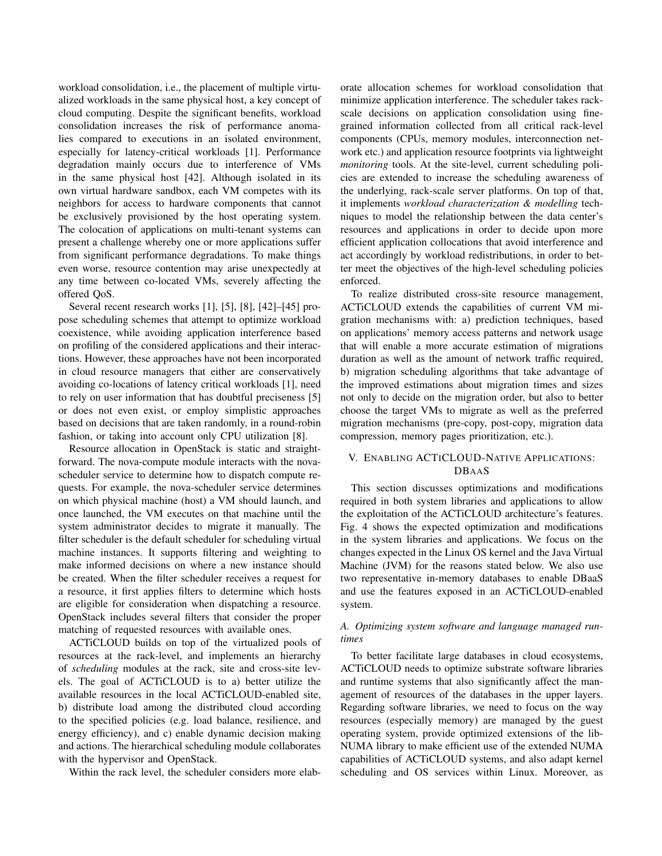workload consolidation, i.e., the placement of multiple virtualized workloads in the same physical host, a key concept of cloud computing. Despite the significant benefits, workload consolidation increases the risk of performance anomalies compared to executions in an isolated environment, especially for latency-critical workloads [1]. Performance degradation mainly occurs due to interference of VMs in the same physical host [42]. Although isolated in its own virtual hardware sandbox, each VM competes with its neighbors for access to hardware components that cannot be exclusively provisioned by the host operating system. The colocation of applications on multi-tenant systems can present a challenge whereby one or more applications suffer from significant performance degradations. To make things even worse, resource contention may arise unexpectedly at any time between co-located VMs, severely affecting the offered QoS.

Several recent research works [1], [5], [8], [42]–[45] propose scheduling schemes that attempt to optimize workload coexistence, while avoiding application interference based on profiling of the considered applications and their interactions. However, these approaches have not been incorporated in cloud resource managers that either are conservatively avoiding co-locations of latency critical workloads [1], need to rely on user information that has doubtful preciseness [5] or does not even exist, or employ simplistic approaches based on decisions that are taken randomly, in a round-robin fashion, or taking into account only CPU utilization [8].

Resource allocation in OpenStack is static and straightforward. The nova-compute module interacts with the novascheduler service to determine how to dispatch compute requests. For example, the nova-scheduler service determines on which physical machine (host) a VM should launch, and once launched, the VM executes on that machine until the system administrator decides to migrate it manually. The filter scheduler is the default scheduler for scheduling virtual machine instances. It supports filtering and weighting to make informed decisions on where a new instance should be created. When the filter scheduler receives a request for a resource, it first applies filters to determine which hosts are eligible for consideration when dispatching a resource. OpenStack includes several filters that consider the proper matching of requested resources with available ones.

ACTiCLOUD builds on top of the virtualized pools of resources at the rack-level, and implements an hierarchy of *scheduling* modules at the rack, site and cross-site levels. The goal of ACTiCLOUD is to a) better utilize the available resources in the local ACTiCLOUD-enabled site, b) distribute load among the distributed cloud according to the specified policies (e.g. load balance, resilience, and energy efficiency), and c) enable dynamic decision making and actions. The hierarchical scheduling module collaborates with the hypervisor and OpenStack.

Within the rack level, the scheduler considers more elab-

orate allocation schemes for workload consolidation that minimize application interference. The scheduler takes rackscale decisions on application consolidation using finegrained information collected from all critical rack-level components (CPUs, memory modules, interconnection network etc.) and application resource footprints via lightweight *monitoring* tools. At the site-level, current scheduling policies are extended to increase the scheduling awareness of the underlying, rack-scale server platforms. On top of that, it implements *workload characterization & modelling* techniques to model the relationship between the data center's resources and applications in order to decide upon more efficient application collocations that avoid interference and act accordingly by workload redistributions, in order to better meet the objectives of the high-level scheduling policies enforced.

To realize distributed cross-site resource management, ACTiCLOUD extends the capabilities of current VM migration mechanisms with: a) prediction techniques, based on applications' memory access patterns and network usage that will enable a more accurate estimation of migrations duration as well as the amount of network traffic required, b) migration scheduling algorithms that take advantage of the improved estimations about migration times and sizes not only to decide on the migration order, but also to better choose the target VMs to migrate as well as the preferred migration mechanisms (pre-copy, post-copy, migration data compression, memory pages prioritization, etc.).

# V. ENABLING ACTICLOUD-NATIVE APPLICATIONS: DBAAS

This section discusses optimizations and modifications required in both system libraries and applications to allow the exploitation of the ACTiCLOUD architecture's features. Fig. 4 shows the expected optimization and modifications in the system libraries and applications. We focus on the changes expected in the Linux OS kernel and the Java Virtual Machine (JVM) for the reasons stated below. We also use two representative in-memory databases to enable DBaaS and use the features exposed in an ACTiCLOUD-enabled system.

#### *A. Optimizing system software and language managed runtimes*

To better facilitate large databases in cloud ecosystems, ACTiCLOUD needs to optimize substrate software libraries and runtime systems that also significantly affect the management of resources of the databases in the upper layers. Regarding software libraries, we need to focus on the way resources (especially memory) are managed by the guest operating system, provide optimized extensions of the lib-NUMA library to make efficient use of the extended NUMA capabilities of ACTiCLOUD systems, and also adapt kernel scheduling and OS services within Linux. Moreover, as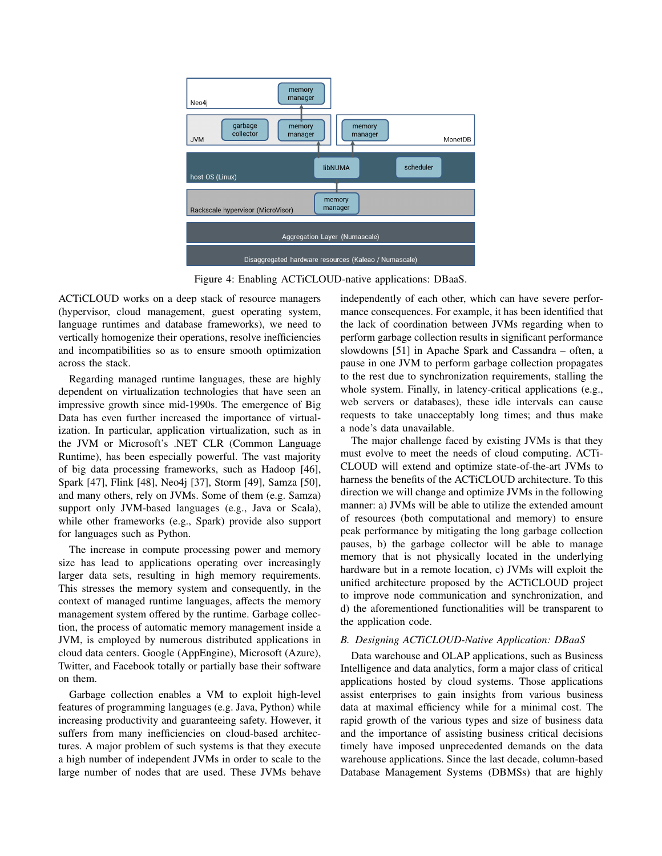

Figure 4: Enabling ACTiCLOUD-native applications: DBaaS.

ACTiCLOUD works on a deep stack of resource managers (hypervisor, cloud management, guest operating system, language runtimes and database frameworks), we need to vertically homogenize their operations, resolve inefficiencies and incompatibilities so as to ensure smooth optimization across the stack.

Regarding managed runtime languages, these are highly dependent on virtualization technologies that have seen an impressive growth since mid-1990s. The emergence of Big Data has even further increased the importance of virtualization. In particular, application virtualization, such as in the JVM or Microsoft's .NET CLR (Common Language Runtime), has been especially powerful. The vast majority of big data processing frameworks, such as Hadoop [46], Spark [47], Flink [48], Neo4j [37], Storm [49], Samza [50], and many others, rely on JVMs. Some of them (e.g. Samza) support only JVM-based languages (e.g., Java or Scala), while other frameworks (e.g., Spark) provide also support for languages such as Python.

The increase in compute processing power and memory size has lead to applications operating over increasingly larger data sets, resulting in high memory requirements. This stresses the memory system and consequently, in the context of managed runtime languages, affects the memory management system offered by the runtime. Garbage collection, the process of automatic memory management inside a JVM, is employed by numerous distributed applications in cloud data centers. Google (AppEngine), Microsoft (Azure), Twitter, and Facebook totally or partially base their software on them.

Garbage collection enables a VM to exploit high-level features of programming languages (e.g. Java, Python) while increasing productivity and guaranteeing safety. However, it suffers from many inefficiencies on cloud-based architectures. A major problem of such systems is that they execute a high number of independent JVMs in order to scale to the large number of nodes that are used. These JVMs behave independently of each other, which can have severe performance consequences. For example, it has been identified that the lack of coordination between JVMs regarding when to perform garbage collection results in significant performance slowdowns [51] in Apache Spark and Cassandra – often, a pause in one JVM to perform garbage collection propagates to the rest due to synchronization requirements, stalling the whole system. Finally, in latency-critical applications (e.g., web servers or databases), these idle intervals can cause requests to take unacceptably long times; and thus make a node's data unavailable.

The major challenge faced by existing JVMs is that they must evolve to meet the needs of cloud computing. ACTi-CLOUD will extend and optimize state-of-the-art JVMs to harness the benefits of the ACTiCLOUD architecture. To this direction we will change and optimize JVMs in the following manner: a) JVMs will be able to utilize the extended amount of resources (both computational and memory) to ensure peak performance by mitigating the long garbage collection pauses, b) the garbage collector will be able to manage memory that is not physically located in the underlying hardware but in a remote location, c) JVMs will exploit the unified architecture proposed by the ACTiCLOUD project to improve node communication and synchronization, and d) the aforementioned functionalities will be transparent to the application code.

# *B. Designing ACTiCLOUD-Native Application: DBaaS*

Data warehouse and OLAP applications, such as Business Intelligence and data analytics, form a major class of critical applications hosted by cloud systems. Those applications assist enterprises to gain insights from various business data at maximal efficiency while for a minimal cost. The rapid growth of the various types and size of business data and the importance of assisting business critical decisions timely have imposed unprecedented demands on the data warehouse applications. Since the last decade, column-based Database Management Systems (DBMSs) that are highly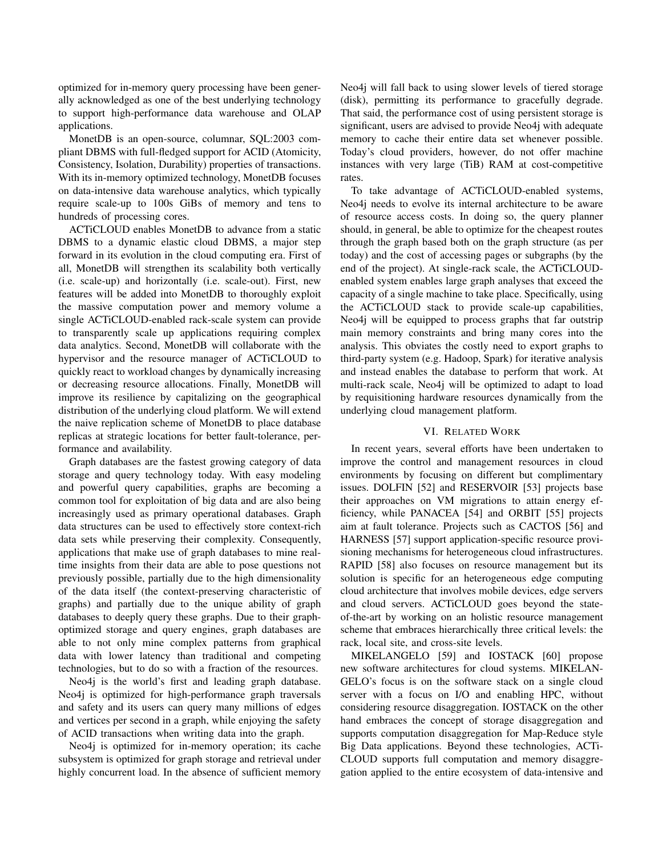optimized for in-memory query processing have been generally acknowledged as one of the best underlying technology to support high-performance data warehouse and OLAP applications.

MonetDB is an open-source, columnar, SQL:2003 compliant DBMS with full-fledged support for ACID (Atomicity, Consistency, Isolation, Durability) properties of transactions. With its in-memory optimized technology, MonetDB focuses on data-intensive data warehouse analytics, which typically require scale-up to 100s GiBs of memory and tens to hundreds of processing cores.

ACTiCLOUD enables MonetDB to advance from a static DBMS to a dynamic elastic cloud DBMS, a major step forward in its evolution in the cloud computing era. First of all, MonetDB will strengthen its scalability both vertically (i.e. scale-up) and horizontally (i.e. scale-out). First, new features will be added into MonetDB to thoroughly exploit the massive computation power and memory volume a single ACTiCLOUD-enabled rack-scale system can provide to transparently scale up applications requiring complex data analytics. Second, MonetDB will collaborate with the hypervisor and the resource manager of ACTiCLOUD to quickly react to workload changes by dynamically increasing or decreasing resource allocations. Finally, MonetDB will improve its resilience by capitalizing on the geographical distribution of the underlying cloud platform. We will extend the naive replication scheme of MonetDB to place database replicas at strategic locations for better fault-tolerance, performance and availability.

Graph databases are the fastest growing category of data storage and query technology today. With easy modeling and powerful query capabilities, graphs are becoming a common tool for exploitation of big data and are also being increasingly used as primary operational databases. Graph data structures can be used to effectively store context-rich data sets while preserving their complexity. Consequently, applications that make use of graph databases to mine realtime insights from their data are able to pose questions not previously possible, partially due to the high dimensionality of the data itself (the context-preserving characteristic of graphs) and partially due to the unique ability of graph databases to deeply query these graphs. Due to their graphoptimized storage and query engines, graph databases are able to not only mine complex patterns from graphical data with lower latency than traditional and competing technologies, but to do so with a fraction of the resources.

Neo4j is the world's first and leading graph database. Neo4j is optimized for high-performance graph traversals and safety and its users can query many millions of edges and vertices per second in a graph, while enjoying the safety of ACID transactions when writing data into the graph.

Neo4j is optimized for in-memory operation; its cache subsystem is optimized for graph storage and retrieval under highly concurrent load. In the absence of sufficient memory Neo4j will fall back to using slower levels of tiered storage (disk), permitting its performance to gracefully degrade. That said, the performance cost of using persistent storage is significant, users are advised to provide Neo4j with adequate memory to cache their entire data set whenever possible. Today's cloud providers, however, do not offer machine instances with very large (TiB) RAM at cost-competitive rates.

To take advantage of ACTiCLOUD-enabled systems, Neo4j needs to evolve its internal architecture to be aware of resource access costs. In doing so, the query planner should, in general, be able to optimize for the cheapest routes through the graph based both on the graph structure (as per today) and the cost of accessing pages or subgraphs (by the end of the project). At single-rack scale, the ACTiCLOUDenabled system enables large graph analyses that exceed the capacity of a single machine to take place. Specifically, using the ACTiCLOUD stack to provide scale-up capabilities, Neo4j will be equipped to process graphs that far outstrip main memory constraints and bring many cores into the analysis. This obviates the costly need to export graphs to third-party system (e.g. Hadoop, Spark) for iterative analysis and instead enables the database to perform that work. At multi-rack scale, Neo4j will be optimized to adapt to load by requisitioning hardware resources dynamically from the underlying cloud management platform.

#### VI. RELATED WORK

In recent years, several efforts have been undertaken to improve the control and management resources in cloud environments by focusing on different but complimentary issues. DOLFIN [52] and RESERVOIR [53] projects base their approaches on VM migrations to attain energy efficiency, while PANACEA [54] and ORBIT [55] projects aim at fault tolerance. Projects such as CACTOS [56] and HARNESS [57] support application-specific resource provisioning mechanisms for heterogeneous cloud infrastructures. RAPID [58] also focuses on resource management but its solution is specific for an heterogeneous edge computing cloud architecture that involves mobile devices, edge servers and cloud servers. ACTiCLOUD goes beyond the stateof-the-art by working on an holistic resource management scheme that embraces hierarchically three critical levels: the rack, local site, and cross-site levels.

MIKELANGELO [59] and IOSTACK [60] propose new software architectures for cloud systems. MIKELAN-GELO's focus is on the software stack on a single cloud server with a focus on I/O and enabling HPC, without considering resource disaggregation. IOSTACK on the other hand embraces the concept of storage disaggregation and supports computation disaggregation for Map-Reduce style Big Data applications. Beyond these technologies, ACTi-CLOUD supports full computation and memory disaggregation applied to the entire ecosystem of data-intensive and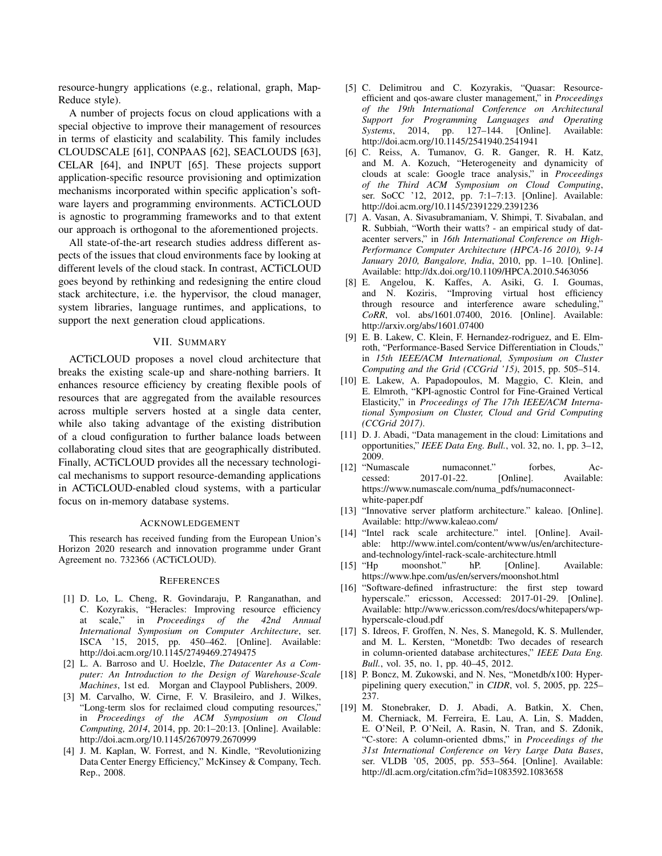resource-hungry applications (e.g., relational, graph, Map-Reduce style).

A number of projects focus on cloud applications with a special objective to improve their management of resources in terms of elasticity and scalability. This family includes CLOUDSCALE [61], CONPAAS [62], SEACLOUDS [63], CELAR [64], and INPUT [65]. These projects support application-specific resource provisioning and optimization mechanisms incorporated within specific application's software layers and programming environments. ACTiCLOUD is agnostic to programming frameworks and to that extent our approach is orthogonal to the aforementioned projects.

All state-of-the-art research studies address different aspects of the issues that cloud environments face by looking at different levels of the cloud stack. In contrast, ACTiCLOUD goes beyond by rethinking and redesigning the entire cloud stack architecture, i.e. the hypervisor, the cloud manager, system libraries, language runtimes, and applications, to support the next generation cloud applications.

#### VII. SUMMARY

ACTiCLOUD proposes a novel cloud architecture that breaks the existing scale-up and share-nothing barriers. It enhances resource efficiency by creating flexible pools of resources that are aggregated from the available resources across multiple servers hosted at a single data center, while also taking advantage of the existing distribution of a cloud configuration to further balance loads between collaborating cloud sites that are geographically distributed. Finally, ACTiCLOUD provides all the necessary technological mechanisms to support resource-demanding applications in ACTiCLOUD-enabled cloud systems, with a particular focus on in-memory database systems.

#### ACKNOWLEDGEMENT

This research has received funding from the European Union's Horizon 2020 research and innovation programme under Grant Agreement no. 732366 (ACTiCLOUD).

#### **REFERENCES**

- [1] D. Lo, L. Cheng, R. Govindaraju, P. Ranganathan, and C. Kozyrakis, "Heracles: Improving resource efficiency at scale," in *Proceedings of the 42nd Annual International Symposium on Computer Architecture*, ser. ISCA '15, 2015, pp. 450–462. [Online]. Available: http://doi.acm.org/10.1145/2749469.2749475
- [2] L. A. Barroso and U. Hoelzle, *The Datacenter As a Computer: An Introduction to the Design of Warehouse-Scale Machines*, 1st ed. Morgan and Claypool Publishers, 2009.
- [3] M. Carvalho, W. Cirne, F. V. Brasileiro, and J. Wilkes, "Long-term slos for reclaimed cloud computing resources," in *Proceedings of the ACM Symposium on Cloud Computing, 2014*, 2014, pp. 20:1–20:13. [Online]. Available: http://doi.acm.org/10.1145/2670979.2670999
- [4] J. M. Kaplan, W. Forrest, and N. Kindle, "Revolutionizing Data Center Energy Efficiency," McKinsey & Company, Tech. Rep., 2008.
- [5] C. Delimitrou and C. Kozyrakis, "Quasar: Resourceefficient and qos-aware cluster management," in *Proceedings of the 19th International Conference on Architectural Support for Programming Languages and Operating Systems*, 2014, pp. 127–144. [Online]. Available: http://doi.acm.org/10.1145/2541940.2541941
- [6] C. Reiss, A. Tumanov, G. R. Ganger, R. H. Katz, and M. A. Kozuch, "Heterogeneity and dynamicity of clouds at scale: Google trace analysis," in *Proceedings of the Third ACM Symposium on Cloud Computing*, ser. SoCC '12, 2012, pp. 7:1–7:13. [Online]. Available: http://doi.acm.org/10.1145/2391229.2391236
- [7] A. Vasan, A. Sivasubramaniam, V. Shimpi, T. Sivabalan, and R. Subbiah, "Worth their watts? - an empirical study of datacenter servers," in *16th International Conference on High-Performance Computer Architecture (HPCA-16 2010), 9-14 January 2010, Bangalore, India*, 2010, pp. 1–10. [Online]. Available: http://dx.doi.org/10.1109/HPCA.2010.5463056
- [8] E. Angelou, K. Kaffes, A. Asiki, G. I. Goumas, and N. Koziris, "Improving virtual host efficiency through resource and interference aware scheduling," *CoRR*, vol. abs/1601.07400, 2016. [Online]. Available: http://arxiv.org/abs/1601.07400
- [9] E. B. Lakew, C. Klein, F. Hernandez-rodriguez, and E. Elmroth, "Performance-Based Service Differentiation in Clouds," in *15th IEEE/ACM International, Symposium on Cluster Computing and the Grid (CCGrid '15)*, 2015, pp. 505–514.
- [10] E. Lakew, A. Papadopoulos, M. Maggio, C. Klein, and E. Elmroth, "KPI-agnostic Control for Fine-Grained Vertical Elasticity," in *Proceedings of The 17th IEEE/ACM International Symposium on Cluster, Cloud and Grid Computing (CCGrid 2017)*.
- [11] D. J. Abadi, "Data management in the cloud: Limitations and opportunities," *IEEE Data Eng. Bull.*, vol. 32, no. 1, pp. 3–12, 2009.
- [12] "Numascale numaconnet." forbes, Accessed: 2017-01-22. [Online]. Available: https://www.numascale.com/numa\_pdfs/numaconnectwhite-paper.pdf
- [13] "Innovative server platform architecture." kaleao. [Online]. Available: http://www.kaleao.com/
- [14] "Intel rack scale architecture." intel. [Online]. Available: http://www.intel.com/content/www/us/en/architectureand-technology/intel-rack-scale-architecture.htmll
- [15] "Hp moonshot." hP. [Online]. Available: https://www.hpe.com/us/en/servers/moonshot.html
- [16] "Software-defined infrastructure: the first step toward hyperscale." ericsson, Accessed: 2017-01-29. [Online]. Available: http://www.ericsson.com/res/docs/whitepapers/wphyperscale-cloud.pdf
- [17] S. Idreos, F. Groffen, N. Nes, S. Manegold, K. S. Mullender, and M. L. Kersten, "Monetdb: Two decades of research in column-oriented database architectures," *IEEE Data Eng. Bull.*, vol. 35, no. 1, pp. 40–45, 2012.
- [18] P. Boncz, M. Zukowski, and N. Nes, "Monetdb/x100: Hyperpipelining query execution," in *CIDR*, vol. 5, 2005, pp. 225– 237.
- [19] M. Stonebraker, D. J. Abadi, A. Batkin, X. Chen, M. Cherniack, M. Ferreira, E. Lau, A. Lin, S. Madden, E. O'Neil, P. O'Neil, A. Rasin, N. Tran, and S. Zdonik, "C-store: A column-oriented dbms," in *Proceedings of the 31st International Conference on Very Large Data Bases*, ser. VLDB '05, 2005, pp. 553–564. [Online]. Available: http://dl.acm.org/citation.cfm?id=1083592.1083658